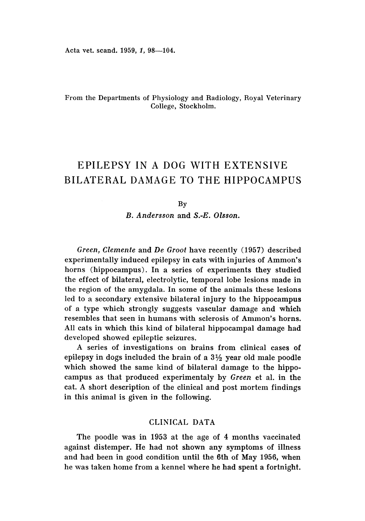Acta vet. scand. 1959, 1, 98-104.

# From the Departments of Physiology and Radiology, Royal Veterinary College, Stockholm.

# EPILEPSY IN A DOG WITH EXTENSIVE BILATERAL DAMAGE TO THE HIPPOCAMPUS

#### By

*B. Andersson* and *S.-E. Olsson.*

*Green, Clemente* and *De Groot* have recently (1957) described experimentally induced epilepsy in cats with injuries of Ammon's horns (hippocampus). In a series of experiments they studied the effect of bilateral, electrolytic, temporal lobe lesions made in the region of the amygdala. In some of the animals these lesions led to a secondary extensive bilateral injury to the hippocampus of a type which strongly suggests vascular damage and which resembles that seen in humans with sclerosis of Ammon's horns. All cats in which this kind of bilateral hippocampal damage had developed showed epileptic seizures.

A series of investigations on brains from clinical cases of epilepsy in dogs included the brain of a  $3\frac{1}{2}$  year old male poodle which showed the same kind of bilateral damage to the hippocampus as that produced experimentaly by *Green* et aI. in the cat. A short description of the clinical and post mortem findings in this animal is given in the following.

# CLINICAL DATA

The poodle was in 1953 at the age of 4 months vaccinated against distemper. He had not shown any symptoms of illness and had been in good condition until the 6th of May 1956, when he was taken home from a kennel where he had spent a fortnight.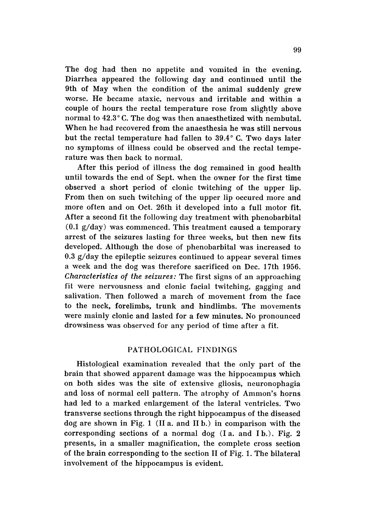The dog had then no appetite and vomited in the evening. Diarrhea appeared the following day and continued until the 9th of May when the condition of the animal suddenly grew worse. He became ataxic, nervous and irritable and within a couple of hours the rectal temperature rose from slightly above normal to  $42.3\degree$  C. The dog was then anaesthetized with nembutal. When he had recovered from the anaesthesia he was still nervous but the rectal temperature had fallen to  $39.4^{\circ}$  C. Two days later no symptoms of illness could be observed and the rectal tempe rature was then back to normal.

After this period of illness the dog remained in good health until towards the end of Sept. when the owner for the first time observed a short period of clonic twitching of the upper lip. From then on such twitching of the upper lip occured more and more often and on Oct. 26th it developed into a full motor fit. After a second fit the following day treatment with phenobarbital (0.1 g/day) was commenced. This treatment caused a temporary arrest of the seizures lasting for three weeks, but then new fits developed. Although the dose of phenobarbital was increased to 0.3 g/day the epileptic seizures continued to appear several times a week and the dog was therefore sacrificed on Dec. 17th 1956. *Characteristics of the seizures:* The first signs of an approaching fit were nervousness and clonic facial twitching, gagging and salivation. Then followed a march of movement from the face to the neck, forelimbs, trunk and hindlimbs. The movements were mainly clonic and lasted for a few minutes. No pronounced drowsiness was observed for any period of time after a fit.

## PATHOLOGICAL FINDINGS

Histological examination revealed that the only part of the brain that showed apparent damage was the hippocampus which on both sides was the site of extensive gliosis, neuronophagia and loss of normal cell pattern. The atrophy of Ammon's horns had led to a marked enlargement of the lateral ventricles. Two transverse sections through the right hippocampus of the diseased dog are shown in Fig. 1 (II a. and II h.) in comparison with the corresponding sections of a normal dog (I a. and I b.). Fig. 2 presents, in a smaller magnification, the complete cross section of the brain corresponding to the section II of Fig. 1. The bilateral involvement of the hippocampus is evident.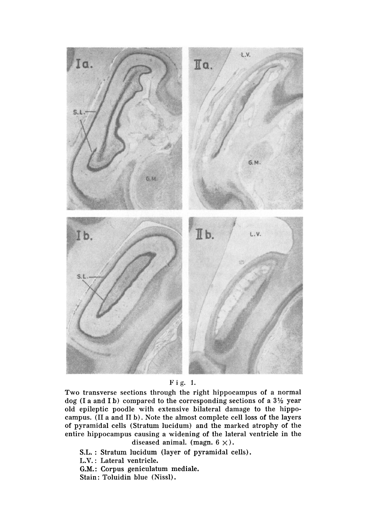

#### Fig. 1.

Two transverse sections through the right hippocampus of a normal dog (I a and I b) compared to the corresponding sections of a  $3\frac{1}{2}$  year old epileptic poodle with extensive bilateral damage to the hippo campus. (II a and II b). Note the almost complete cell loss of the layers of pyramidal cells (Stratum lucidum) and the marked atrophy of the entire hippocampus causing a widening of the lateral ventricle in the diseased animal. (magn.  $6 \times$ ).

S.L. : Stratum lucidum (layer of pyramidal cells).

L.V. : Lateral ventricle.

G.M.: Corpus geniculatum mediale.

Stain: Toluidin blue (Nissl).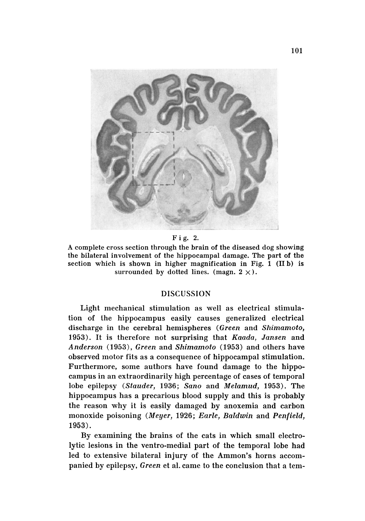

Fig. 2.

A complete cross section through the brain of the diseased dog showing the bilateral involvement of the hippocampal damage. The part of the section which is shown in higher magnification in Fig. 1 (II b) is surrounded by dotted lines. (magn.  $2 \times$ ).

#### DISCUSSION

Light mechanical stimulation as well as electrical stimulation of the hippocampus easily causes generalized electrical discharge in the cerebral hemispheres *(Green* and *Shimamoto,* 1953) . It is therefore not surprising that *Kaada, Jansen* and *Anderson* (1953), *Green* and *Shimamoto* (1953) and others have observed motor fits as a consequence of hippocampal stimulation. Furthermore, some authors have found damage to the hippocampus in an extraordinarily high percentage of cases of temporal lobe epilepsy *(Stauder,* 1936; *Sano* and *Melamud,* 1953). The hippocampus has a precarious blood supply and this is probably the reason why it is easily damaged by anoxemia and carbon monoxide poisoning *(Meyer,* 1926; *Earle, Baldwin* and *Penfield,* 1953).

By examining the brains of the cats in which small electrolytic lesions in the ventro-medial part of the temporal lobe had led to extensive bilateral injury of the Ammon's horns accompanied by epilepsy, *Green* et al. came to the conclusion that a tem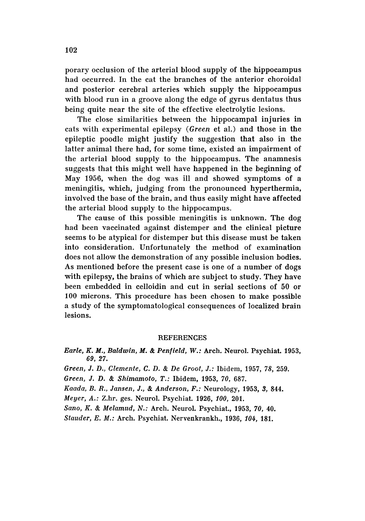porary occlusion of the arterial blood supply of the hippocampus had occurred. In the cat the branches of the anterior choroidal and posterior cerebral arteries which supply the hippocampus with blood run in a groove along the edge of gyrus dentatus thus being quite near the site of the effective electrolytic lesions.

The close similarities between the hippocampal injuries in cats with experimental epilepsy *(Green* et al.) and those in the epileptic poodle might justify the suggestion that also in the latter animal there had, for some time, existed an impairment of the arterial blood supply to the hippocampus. The anamnesis suggests that this might well have happened in the beginning of May 1956, when the dog was ill and showed symptoms of a meningitis, which, judging from the pronounced hyperthermia, involved the base of the brain, and thus easily might have affected the arterial blood supply to the hippocampus.

The cause of this possible meningitis is unknown. The dog had been vaccinated against distemper and the clinical picture seems to be atypical for distemper but this disease must be taken into consideration. Unfortunately the method of examination does not allow the demonstration of any possible inclusion bodies. As mentioned before the present case is one of a number of dogs with epilepsy, the brains of which are subject to study. They have been embedded in celloidin and cut in serial sections of 50 or 100 microns. This procedure has been chosen to make possible a study of the symptomatological consequences of localized brain lesions.

#### **REFERENCES**

*Earle , K. M., Baldwin, M.* & *Penfield, W.:* Arch. Neurol. Psychiat. 1953, 69,27.

*Green,* J. *D., Clemente,* C. *D.* & *De Groot,* J.: Ibidem, 1957, 78, 259.

*Green,* J. *D.* & *Shimamoto, T.:* Ibidem, 1953, *70, 687.*

*Kaada,* B. *R., Jansen,* J., & *Anderson, F.:* Neurology, 1953, 3, 844.

*Meyer, A. :* Z.hr. ges, Neurol. Psychiat. 1926, *100, 201.*

*Sano, K.* & *Melamud, N.:* Arch. Neurol. Psychiat., 1953, *70, 40.*

*Stauder, E. M.:* Arch. Psychiat. Nervenkrankh., 1936, *104, 181.*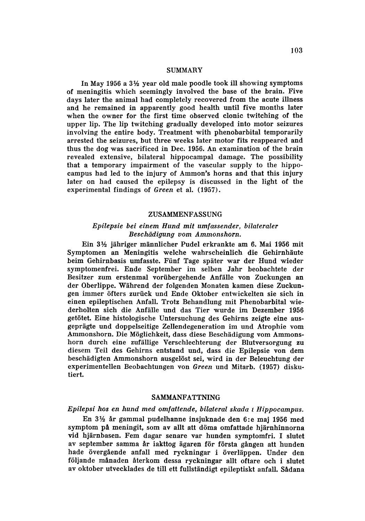#### **SUMMARY**

In May 1956 a  $3\frac{1}{2}$  year old male poodle took ill showing symptoms of meningitis which seemingly involved the base of the brain. Five days later the animal had completely recovered from the acute illness and he remained in apparently good health until five months later when the owner for the first time observed clonic twitching of the upper lip. The lip twitching gradually developed into motor seizures involving the entire body. Treatment with phenobarbital temporarily arrested the seizures, but three weeks later motor fits reappeared and thus the dog was sacrificed in Dec. 1956. An examination of the brain revealed extensive, bilateral hippocampal damage. The possibility that a temporary impairment of the vascular supply to the hippo campus had led to the injury of Ammon's horns and that this injury later on had caused the epilepsy is discussed in the light of the experimental findings of *Green* et al. (1957).

#### ZUSAMMENFASSUNG

### *Epilepsie bei einem Hund mit umfassender, bilateraler Beschiidigung vom Ammonshorn.*

Ein 3½ jähriger männlicher Pudel erkrankte am 6. Mai 1956 mit Symptomen an Meningitis welche wahrscheinlich die Gehirnhaute beim Gehirnbasis umfasste. Fiinf Tage spater war der Hund wieder symptomenfrei. Ende September im selben Jahr beobachtete der Besitzer zum erstenmal vorübergehende Anfälle von Zuckungen an der Oberlippe. Während der folgenden Monaten kamen diese Zuckungen immer ofters zuriick und Ende Oktober entwickelten sie sich in einen epileptischen Anfall. Trotz Behandlung mit Phenobarbital wie derholten sich die Anfiille und das Tier wurde im Dezember 1956 getötet. Eine histologische Untersuchung des Gehirns zeigte eine ausgepriigte und doppelseitige Zellendegeneration im und Atrophie vom Ammonshorn. Die Möglichkeit, dass diese Beschädigung vom Ammonshorn durch eine zufiillige Verschlechterung der Blutversorgung zu diesem Teil des Gehirns entstand und, dass die Epilepsie von dem beschädigten Ammonshorn ausgelöst sei, wird in der Beleuchtung der experimentellen Beobachtungen von *Green* und Mitarb. (1957) disku tiert.

#### SAMMANFATTNING

#### *Epilepsi hos* en *hund med omjaitetuie, bilateral skada* t *Hippocampus.*

En  $3\frac{1}{2}$  år gammal pudelhanne insjuknade den 6:e maj 1956 med symptom på meningit, som av allt att döma omfattade hjärnhinnorna vid hjärnbasen. Fem dagar senare var hunden symptomfri. I slutet av september samma år iakttog ägaren för första gången att hunden hade övergående anfall med ryckningar i överläppen. Under den följande månaden återkom dessa ryckningar allt oftare och i slutet av oktober utvecklades de till ett fullständigt epileptiskt anfall, Sådana